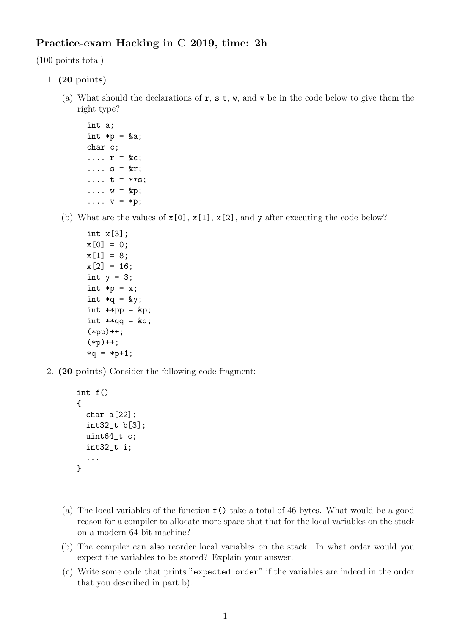## Practice-exam Hacking in C 2019, time: 2h

(100 points total)

- 1. (20 points)
	- (a) What should the declarations of  $r, s, t, w$ , and v be in the code below to give them the right type?
		- int a; int  $*p = ka;$ char c;  $\ldots$   $\mathbf{r}$  = &c;  $\ldots$  s = &r; ....  $t = **s$ ;  $\ldots$  w = &p;  $\ldots$  v = \*p;
	- (b) What are the values of  $x[0], x[1], x[2],$  and y after executing the code below?

```
int x[3];
x[0] = 0;x[1] = 8;x[2] = 16;int y = 3;
int *p = x;int *q = ky;
int **pp = kp;
int *qq = \&q;(*pp)++;(*p)++;*q = *p+1;
```
2. (20 points) Consider the following code fragment:

```
int f()
{
  char a[22];
  int32_t b[3];
  uint64_t c;
  int32_t i;
  ...
}
```
- (a) The local variables of the function f() take a total of 46 bytes. What would be a good reason for a compiler to allocate more space that that for the local variables on the stack on a modern 64-bit machine?
- (b) The compiler can also reorder local variables on the stack. In what order would you expect the variables to be stored? Explain your answer.
- (c) Write some code that prints "expected order" if the variables are indeed in the order that you described in part b).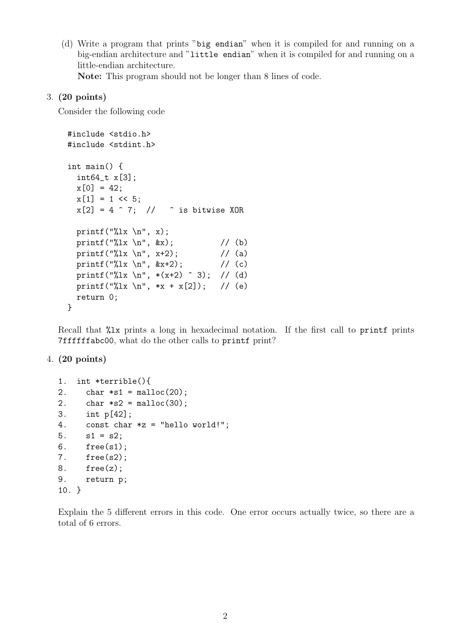(d) Write a program that prints "big endian" when it is compiled for and running on a big-endian architecture and "little endian" when it is compiled for and running on a little-endian architecture.

Note: This program should not be longer than 8 lines of code.

## 3. (20 points)

Consider the following code

```
#include <stdio.h>
#include <stdint.h>
int main() {
  int64_t x[3];
 x[0] = 42;x[1] = 1 \le 5;x[2] = 4 \hat{ } 7; // \hat{ } is bitwise XOR
 printf("%lx \ln", x);
 printf("%lx \n", &x); \qquad // (b)
 printf("%lx \n", x+2); // (a)
 printf("%lx \n", &x+2); \qquad // (c)
 printf("%lx \n", *(x+2) ^ 3); // (d)
 printf("%lx \n", *x + x[2]); // (e)
 return 0;
}
```
Recall that  $\chi$ 1x prints a long in hexadecimal notation. If the first call to printf prints 7ffffffabc00, what do the other calls to printf print?

## 4. (20 points)

```
1. int *terrible(){
2. char *sl = malloc(20);2. char *s2 = \text{malloc}(30);
3. int p[42];
4. const char *z = "hello world!";
5. s1 = s2;
6. free(s1);
7. free(s2);
8. free(z);
9. return p;
10. }
```
Explain the 5 different errors in this code. One error occurs actually twice, so there are a total of 6 errors.